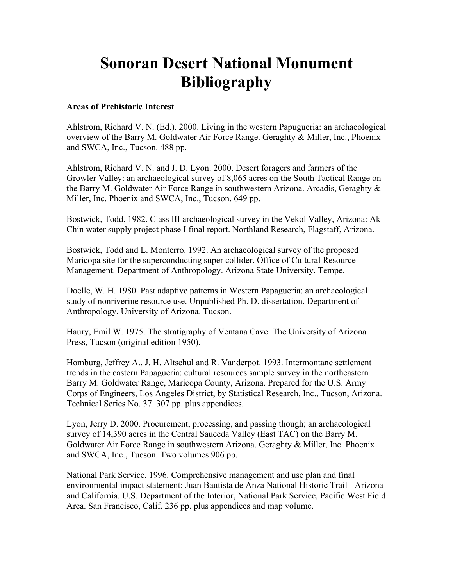# **Sonoran Desert National Monument Bibliography**

#### **Areas of Prehistoric Interest**

Ahlstrom, Richard V. N. (Ed.). 2000. Living in the western Papugueria: an archaeological overview of the Barry M. Goldwater Air Force Range. Geraghty & Miller, Inc., Phoenix and SWCA, Inc., Tucson. 488 pp.

Ahlstrom, Richard V. N. and J. D. Lyon. 2000. Desert foragers and farmers of the Growler Valley: an archaeological survey of 8,065 acres on the South Tactical Range on the Barry M. Goldwater Air Force Range in southwestern Arizona. Arcadis, Geraghty & Miller, Inc. Phoenix and SWCA, Inc., Tucson. 649 pp.

Bostwick, Todd. 1982. Class III archaeological survey in the Vekol Valley, Arizona: Ak-Chin water supply project phase I final report. Northland Research, Flagstaff, Arizona.

Bostwick, Todd and L. Monterro. 1992. An archaeological survey of the proposed Maricopa site for the superconducting super collider. Office of Cultural Resource Management. Department of Anthropology. Arizona State University. Tempe.

Doelle, W. H. 1980. Past adaptive patterns in Western Papagueria: an archaeological study of nonriverine resource use. Unpublished Ph. D. dissertation. Department of Anthropology. University of Arizona. Tucson.

Haury, Emil W. 1975. The stratigraphy of Ventana Cave. The University of Arizona Press, Tucson (original edition 1950).

Homburg, Jeffrey A., J. H. Altschul and R. Vanderpot. 1993. Intermontane settlement trends in the eastern Papagueria: cultural resources sample survey in the northeastern Barry M. Goldwater Range, Maricopa County, Arizona. Prepared for the U.S. Army Corps of Engineers, Los Angeles District, by Statistical Research, Inc., Tucson, Arizona. Technical Series No. 37. 307 pp. plus appendices.

Lyon, Jerry D. 2000. Procurement, processing, and passing though; an archaeological survey of 14,390 acres in the Central Sauceda Valley (East TAC) on the Barry M. Goldwater Air Force Range in southwestern Arizona. Geraghty & Miller, Inc. Phoenix and SWCA, Inc., Tucson. Two volumes 906 pp.

National Park Service. 1996. Comprehensive management and use plan and final environmental impact statement: Juan Bautista de Anza National Historic Trail - Arizona and California. U.S. Department of the Interior, National Park Service, Pacific West Field Area. San Francisco, Calif. 236 pp. plus appendices and map volume.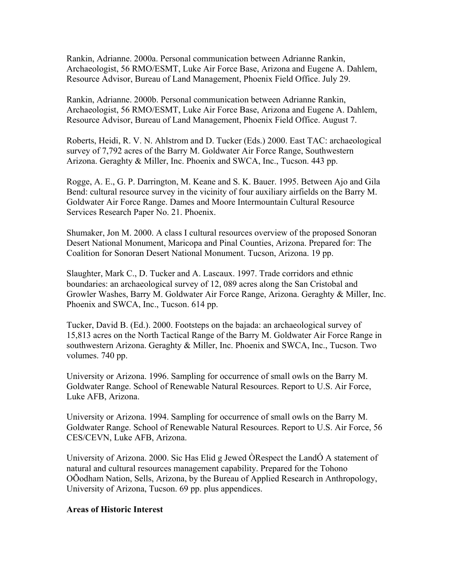Rankin, Adrianne. 2000a. Personal communication between Adrianne Rankin, Archaeologist, 56 RMO/ESMT, Luke Air Force Base, Arizona and Eugene A. Dahlem, Resource Advisor, Bureau of Land Management, Phoenix Field Office. July 29.

Rankin, Adrianne. 2000b. Personal communication between Adrianne Rankin, Archaeologist, 56 RMO/ESMT, Luke Air Force Base, Arizona and Eugene A. Dahlem, Resource Advisor, Bureau of Land Management, Phoenix Field Office. August 7.

Roberts, Heidi, R. V. N. Ahlstrom and D. Tucker (Eds.) 2000. East TAC: archaeological survey of 7,792 acres of the Barry M. Goldwater Air Force Range, Southwestern Arizona. Geraghty & Miller, Inc. Phoenix and SWCA, Inc., Tucson. 443 pp.

Rogge, A. E., G. P. Darrington, M. Keane and S. K. Bauer. 1995. Between Ajo and Gila Bend: cultural resource survey in the vicinity of four auxiliary airfields on the Barry M. Goldwater Air Force Range. Dames and Moore Intermountain Cultural Resource Services Research Paper No. 21. Phoenix.

Shumaker, Jon M. 2000. A class I cultural resources overview of the proposed Sonoran Desert National Monument, Maricopa and Pinal Counties, Arizona. Prepared for: The Coalition for Sonoran Desert National Monument. Tucson, Arizona. 19 pp.

Slaughter, Mark C., D. Tucker and A. Lascaux. 1997. Trade corridors and ethnic boundaries: an archaeological survey of 12, 089 acres along the San Cristobal and Growler Washes, Barry M. Goldwater Air Force Range, Arizona. Geraghty & Miller, Inc. Phoenix and SWCA, Inc., Tucson. 614 pp.

Tucker, David B. (Ed.). 2000. Footsteps on the bajada: an archaeological survey of 15,813 acres on the North Tactical Range of the Barry M. Goldwater Air Force Range in southwestern Arizona. Geraghty & Miller, Inc. Phoenix and SWCA, Inc., Tucson. Two volumes. 740 pp.

University or Arizona. 1996. Sampling for occurrence of small owls on the Barry M. Goldwater Range. School of Renewable Natural Resources. Report to U.S. Air Force, Luke AFB, Arizona.

University or Arizona. 1994. Sampling for occurrence of small owls on the Barry M. Goldwater Range. School of Renewable Natural Resources. Report to U.S. Air Force, 56 CES/CEVN, Luke AFB, Arizona.

University of Arizona. 2000. Sic Has Elid g Jewed ÒRespect the LandÓ A statement of natural and cultural resources management capability. Prepared for the Tohono OÕodham Nation, Sells, Arizona, by the Bureau of Applied Research in Anthropology, University of Arizona, Tucson. 69 pp. plus appendices.

#### **Areas of Historic Interest**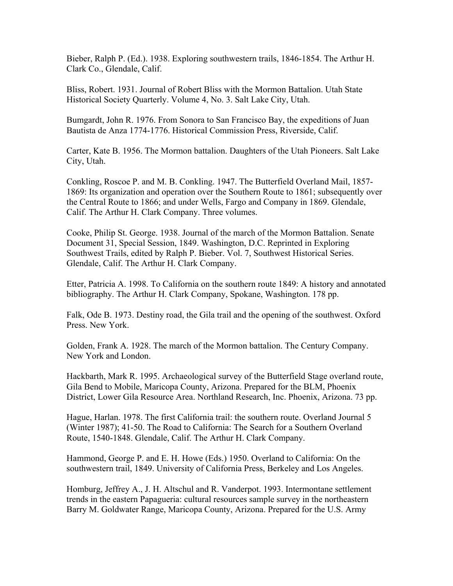Bieber, Ralph P. (Ed.). 1938. Exploring southwestern trails, 1846-1854. The Arthur H. Clark Co., Glendale, Calif.

Bliss, Robert. 1931. Journal of Robert Bliss with the Mormon Battalion. Utah State Historical Society Quarterly. Volume 4, No. 3. Salt Lake City, Utah.

Bumgardt, John R. 1976. From Sonora to San Francisco Bay, the expeditions of Juan Bautista de Anza 1774-1776. Historical Commission Press, Riverside, Calif.

Carter, Kate B. 1956. The Mormon battalion. Daughters of the Utah Pioneers. Salt Lake City, Utah.

Conkling, Roscoe P. and M. B. Conkling. 1947. The Butterfield Overland Mail, 1857 1869: Its organization and operation over the Southern Route to 1861; subsequently over the Central Route to 1866; and under Wells, Fargo and Company in 1869. Glendale, Calif. The Arthur H. Clark Company. Three volumes.

Cooke, Philip St. George. 1938. Journal of the march of the Mormon Battalion. Senate Document 31, Special Session, 1849. Washington, D.C. Reprinted in Exploring Southwest Trails, edited by Ralph P. Bieber. Vol. 7, Southwest Historical Series. Glendale, Calif. The Arthur H. Clark Company.

Etter, Patricia A. 1998. To California on the southern route 1849: A history and annotated bibliography. The Arthur H. Clark Company, Spokane, Washington. 178 pp.

Falk, Ode B. 1973. Destiny road, the Gila trail and the opening of the southwest. Oxford Press. New York.

Golden, Frank A. 1928. The march of the Mormon battalion. The Century Company. New York and London.

Hackbarth, Mark R. 1995. Archaeological survey of the Butterfield Stage overland route, Gila Bend to Mobile, Maricopa County, Arizona. Prepared for the BLM, Phoenix District, Lower Gila Resource Area. Northland Research, Inc. Phoenix, Arizona. 73 pp.

Hague, Harlan. 1978. The first California trail: the southern route. Overland Journal 5 (Winter 1987); 41-50. The Road to California: The Search for a Southern Overland Route, 1540-1848. Glendale, Calif. The Arthur H. Clark Company.

Hammond, George P. and E. H. Howe (Eds.) 1950. Overland to California: On the southwestern trail, 1849. University of California Press, Berkeley and Los Angeles.

Homburg, Jeffrey A., J. H. Altschul and R. Vanderpot. 1993. Intermontane settlement trends in the eastern Papagueria: cultural resources sample survey in the northeastern Barry M. Goldwater Range, Maricopa County, Arizona. Prepared for the U.S. Army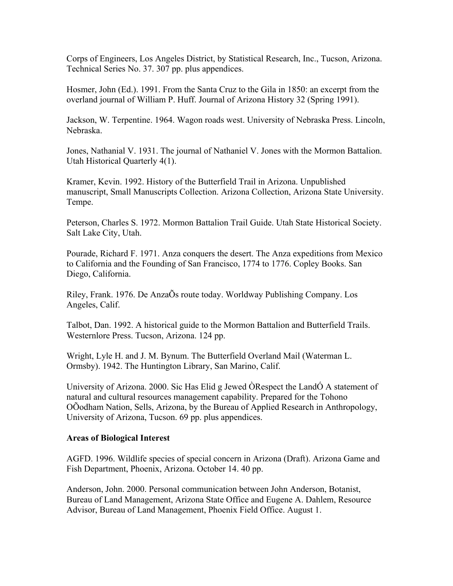Corps of Engineers, Los Angeles District, by Statistical Research, Inc., Tucson, Arizona. Technical Series No. 37. 307 pp. plus appendices.

Hosmer, John (Ed.). 1991. From the Santa Cruz to the Gila in 1850: an excerpt from the overland journal of William P. Huff. Journal of Arizona History 32 (Spring 1991).

Jackson, W. Terpentine. 1964. Wagon roads west. University of Nebraska Press. Lincoln, Nebraska.

Jones, Nathanial V. 1931. The journal of Nathaniel V. Jones with the Mormon Battalion. Utah Historical Quarterly 4(1).

Kramer, Kevin. 1992. History of the Butterfield Trail in Arizona. Unpublished manuscript, Small Manuscripts Collection. Arizona Collection, Arizona State University. Tempe.

Peterson, Charles S. 1972. Mormon Battalion Trail Guide. Utah State Historical Society. Salt Lake City, Utah.

Pourade, Richard F. 1971. Anza conquers the desert. The Anza expeditions from Mexico to California and the Founding of San Francisco, 1774 to 1776. Copley Books. San Diego, California.

Riley, Frank. 1976. De AnzaÕs route today. Worldway Publishing Company. Los Angeles, Calif.

Talbot, Dan. 1992. A historical guide to the Mormon Battalion and Butterfield Trails. Westernlore Press. Tucson, Arizona. 124 pp.

Wright, Lyle H. and J. M. Bynum. The Butterfield Overland Mail (Waterman L. Ormsby). 1942. The Huntington Library, San Marino, Calif.

University of Arizona. 2000. Sic Has Elid g Jewed ÒRespect the LandÓ A statement of natural and cultural resources management capability. Prepared for the Tohono OÕodham Nation, Sells, Arizona, by the Bureau of Applied Research in Anthropology, University of Arizona, Tucson. 69 pp. plus appendices.

#### **Areas of Biological Interest**

AGFD. 1996. Wildlife species of special concern in Arizona (Draft). Arizona Game and Fish Department, Phoenix, Arizona. October 14. 40 pp.

Anderson, John. 2000. Personal communication between John Anderson, Botanist, Bureau of Land Management, Arizona State Office and Eugene A. Dahlem, Resource Advisor, Bureau of Land Management, Phoenix Field Office. August 1.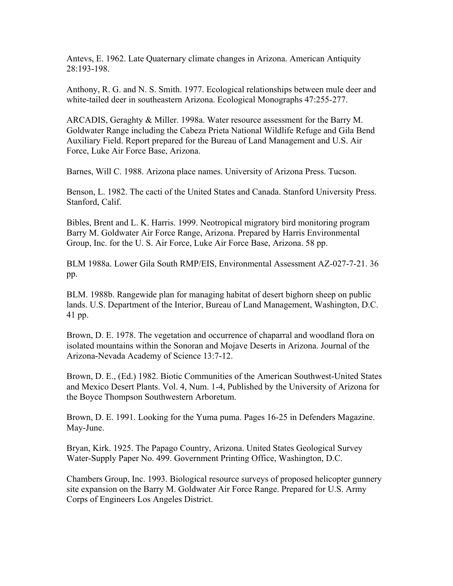Antevs, E. 1962. Late Quaternary climate changes in Arizona. American Antiquity 28:193-198.

Anthony, R. G. and N. S. Smith. 1977. Ecological relationships between mule deer and white-tailed deer in southeastern Arizona. Ecological Monographs 47:255-277.

ARCADIS, Geraghty & Miller. 1998a. Water resource assessment for the Barry M. Goldwater Range including the Cabeza Prieta National Wildlife Refuge and Gila Bend Auxiliary Field. Report prepared for the Bureau of Land Management and U.S. Air Force, Luke Air Force Base, Arizona.

Barnes, Will C. 1988. Arizona place names. University of Arizona Press. Tucson.

Benson, L. 1982. The cacti of the United States and Canada. Stanford University Press. Stanford, Calif.

Bibles, Brent and L. K. Harris. 1999. Neotropical migratory bird monitoring program Barry M. Goldwater Air Force Range, Arizona. Prepared by Harris Environmental Group, Inc. for the U. S. Air Force, Luke Air Force Base, Arizona. 58 pp.

BLM 1988a. Lower Gila South RMP/EIS, Environmental Assessment AZ-027-7-21. 36 pp.

BLM. 1988b. Rangewide plan for managing habitat of desert bighorn sheep on public lands. U.S. Department of the Interior, Bureau of Land Management, Washington, D.C. 41 pp.

Brown, D. E. 1978. The vegetation and occurrence of chaparral and woodland flora on isolated mountains within the Sonoran and Mojave Deserts in Arizona. Journal of the Arizona-Nevada Academy of Science 13:7-12.

Brown, D. E., (Ed.) 1982. Biotic Communities of the American Southwest-United States and Mexico Desert Plants. Vol. 4, Num. 1-4, Published by the University of Arizona for the Boyce Thompson Southwestern Arboretum.

Brown, D. E. 1991. Looking for the Yuma puma. Pages 16-25 in Defenders Magazine. May-June.

Bryan, Kirk. 1925. The Papago Country, Arizona. United States Geological Survey Water-Supply Paper No. 499. Government Printing Office, Washington, D.C.

Chambers Group, Inc. 1993. Biological resource surveys of proposed helicopter gunnery site expansion on the Barry M. Goldwater Air Force Range. Prepared for U.S. Army Corps of Engineers Los Angeles District.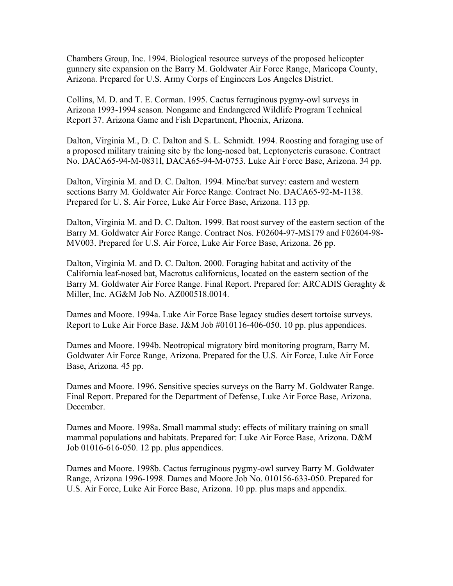Chambers Group, Inc. 1994. Biological resource surveys of the proposed helicopter gunnery site expansion on the Barry M. Goldwater Air Force Range, Maricopa County, Arizona. Prepared for U.S. Army Corps of Engineers Los Angeles District.

Collins, M. D. and T. E. Corman. 1995. Cactus ferruginous pygmy-owl surveys in Arizona 1993-1994 season. Nongame and Endangered Wildlife Program Technical Report 37. Arizona Game and Fish Department, Phoenix, Arizona.

Dalton, Virginia M., D. C. Dalton and S. L. Schmidt. 1994. Roosting and foraging use of a proposed military training site by the long-nosed bat, Leptonycteris curasoae. Contract No. DACA65-94-M-0831l, DACA65-94-M-0753. Luke Air Force Base, Arizona. 34 pp.

Dalton, Virginia M. and D. C. Dalton. 1994. Mine/bat survey: eastern and western sections Barry M. Goldwater Air Force Range. Contract No. DACA65-92-M-1138. Prepared for U. S. Air Force, Luke Air Force Base, Arizona. 113 pp.

Dalton, Virginia M. and D. C. Dalton. 1999. Bat roost survey of the eastern section of the Barry M. Goldwater Air Force Range. Contract Nos. F02604-97-MS179 and F02604-98 MV003. Prepared for U.S. Air Force, Luke Air Force Base, Arizona. 26 pp.

Dalton, Virginia M. and D. C. Dalton. 2000. Foraging habitat and activity of the California leaf-nosed bat, Macrotus californicus, located on the eastern section of the Barry M. Goldwater Air Force Range. Final Report. Prepared for: ARCADIS Geraghty & Miller, Inc. AG&M Job No. AZ000518.0014.

Dames and Moore. 1994a. Luke Air Force Base legacy studies desert tortoise surveys. Report to Luke Air Force Base. J&M Job #010116-406-050. 10 pp. plus appendices.

Dames and Moore. 1994b. Neotropical migratory bird monitoring program, Barry M. Goldwater Air Force Range, Arizona. Prepared for the U.S. Air Force, Luke Air Force Base, Arizona. 45 pp.

Dames and Moore. 1996. Sensitive species surveys on the Barry M. Goldwater Range. Final Report. Prepared for the Department of Defense, Luke Air Force Base, Arizona. December.

Dames and Moore. 1998a. Small mammal study: effects of military training on small mammal populations and habitats. Prepared for: Luke Air Force Base, Arizona. D&M Job 01016-616-050. 12 pp. plus appendices.

Dames and Moore. 1998b. Cactus ferruginous pygmy-owl survey Barry M. Goldwater Range, Arizona 1996-1998. Dames and Moore Job No. 010156-633-050. Prepared for U.S. Air Force, Luke Air Force Base, Arizona. 10 pp. plus maps and appendix.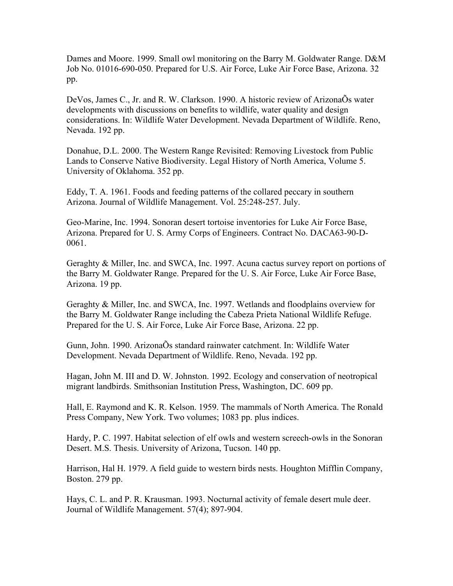Dames and Moore. 1999. Small owl monitoring on the Barry M. Goldwater Range. D&M Job No. 01016-690-050. Prepared for U.S. Air Force, Luke Air Force Base, Arizona. 32 pp.

DeVos, James C., Jr. and R. W. Clarkson. 1990. A historic review of ArizonaÕs water developments with discussions on benefits to wildlife, water quality and design considerations. In: Wildlife Water Development. Nevada Department of Wildlife. Reno, Nevada. 192 pp.

Donahue, D.L. 2000. The Western Range Revisited: Removing Livestock from Public Lands to Conserve Native Biodiversity. Legal History of North America, Volume 5. University of Oklahoma. 352 pp.

Eddy, T. A. 1961. Foods and feeding patterns of the collared peccary in southern Arizona. Journal of Wildlife Management. Vol. 25:248-257. July.

Geo-Marine, Inc. 1994. Sonoran desert tortoise inventories for Luke Air Force Base, Arizona. Prepared for U. S. Army Corps of Engineers. Contract No. DACA63-90-D-0061.

Geraghty & Miller, Inc. and SWCA, Inc. 1997. Acuna cactus survey report on portions of the Barry M. Goldwater Range. Prepared for the U. S. Air Force, Luke Air Force Base, Arizona. 19 pp.

Geraghty & Miller, Inc. and SWCA, Inc. 1997. Wetlands and floodplains overview for the Barry M. Goldwater Range including the Cabeza Prieta National Wildlife Refuge. Prepared for the U. S. Air Force, Luke Air Force Base, Arizona. 22 pp.

Gunn, John. 1990. ArizonaÕs standard rainwater catchment. In: Wildlife Water Development. Nevada Department of Wildlife. Reno, Nevada. 192 pp.

Hagan, John M. III and D. W. Johnston. 1992. Ecology and conservation of neotropical migrant landbirds. Smithsonian Institution Press, Washington, DC. 609 pp.

Hall, E. Raymond and K. R. Kelson. 1959. The mammals of North America. The Ronald Press Company, New York. Two volumes; 1083 pp. plus indices.

Hardy, P. C. 1997. Habitat selection of elf owls and western screech-owls in the Sonoran Desert. M.S. Thesis. University of Arizona, Tucson. 140 pp.

Harrison, Hal H. 1979. A field guide to western birds nests. Houghton Mifflin Company, Boston. 279 pp.

Hays, C. L. and P. R. Krausman. 1993. Nocturnal activity of female desert mule deer. Journal of Wildlife Management. 57(4); 897-904.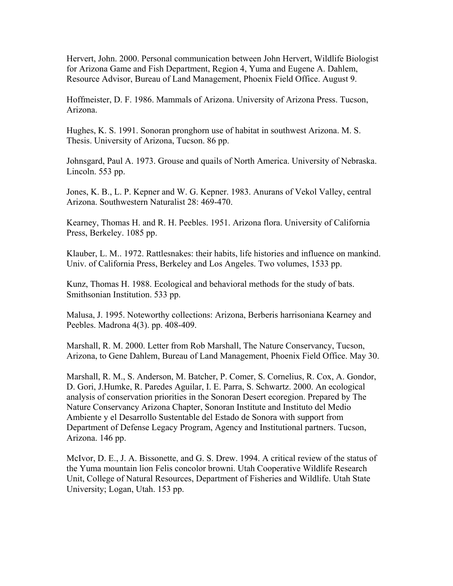Hervert, John. 2000. Personal communication between John Hervert, Wildlife Biologist for Arizona Game and Fish Department, Region 4, Yuma and Eugene A. Dahlem, Resource Advisor, Bureau of Land Management, Phoenix Field Office. August 9.

Hoffmeister, D. F. 1986. Mammals of Arizona. University of Arizona Press. Tucson, Arizona.

Hughes, K. S. 1991. Sonoran pronghorn use of habitat in southwest Arizona. M. S. Thesis. University of Arizona, Tucson. 86 pp.

Johnsgard, Paul A. 1973. Grouse and quails of North America. University of Nebraska. Lincoln. 553 pp.

Jones, K. B., L. P. Kepner and W. G. Kepner. 1983. Anurans of Vekol Valley, central Arizona. Southwestern Naturalist 28: 469-470.

Kearney, Thomas H. and R. H. Peebles. 1951. Arizona flora. University of California Press, Berkeley. 1085 pp.

Klauber, L. M.. 1972. Rattlesnakes: their habits, life histories and influence on mankind. Univ. of California Press, Berkeley and Los Angeles. Two volumes, 1533 pp.

Kunz, Thomas H. 1988. Ecological and behavioral methods for the study of bats. Smithsonian Institution. 533 pp.

Malusa, J. 1995. Noteworthy collections: Arizona, Berberis harrisoniana Kearney and Peebles. Madrona 4(3). pp. 408-409.

Marshall, R. M. 2000. Letter from Rob Marshall, The Nature Conservancy, Tucson, Arizona, to Gene Dahlem, Bureau of Land Management, Phoenix Field Office. May 30.

Marshall, R. M., S. Anderson, M. Batcher, P. Comer, S. Cornelius, R. Cox, A. Gondor, D. Gori, J.Humke, R. Paredes Aguilar, I. E. Parra, S. Schwartz. 2000. An ecological analysis of conservation priorities in the Sonoran Desert ecoregion. Prepared by The Nature Conservancy Arizona Chapter, Sonoran Institute and Instituto del Medio Ambiente y el Desarrollo Sustentable del Estado de Sonora with support from Department of Defense Legacy Program, Agency and Institutional partners. Tucson, Arizona. 146 pp.

McIvor, D. E., J. A. Bissonette, and G. S. Drew. 1994. A critical review of the status of the Yuma mountain lion Felis concolor browni. Utah Cooperative Wildlife Research Unit, College of Natural Resources, Department of Fisheries and Wildlife. Utah State University; Logan, Utah. 153 pp.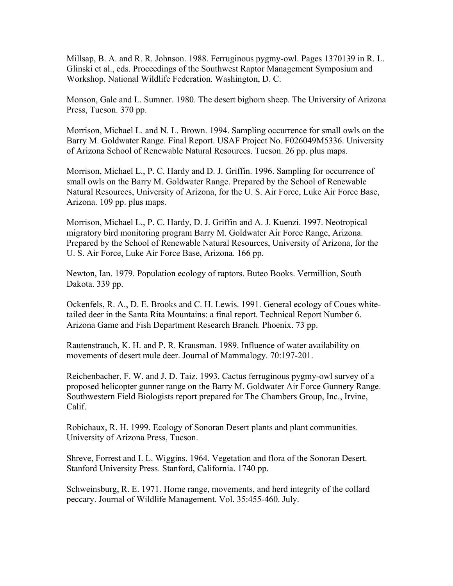Millsap, B. A. and R. R. Johnson. 1988. Ferruginous pygmy-owl. Pages 1370139 in R. L. Glinski et al., eds. Proceedings of the Southwest Raptor Management Symposium and Workshop. National Wildlife Federation. Washington, D. C.

Monson, Gale and L. Sumner. 1980. The desert bighorn sheep. The University of Arizona Press, Tucson. 370 pp.

Morrison, Michael L. and N. L. Brown. 1994. Sampling occurrence for small owls on the Barry M. Goldwater Range. Final Report. USAF Project No. F026049M5336. University of Arizona School of Renewable Natural Resources. Tucson. 26 pp. plus maps.

Morrison, Michael L., P. C. Hardy and D. J. Griffin. 1996. Sampling for occurrence of small owls on the Barry M. Goldwater Range. Prepared by the School of Renewable Natural Resources, University of Arizona, for the U. S. Air Force, Luke Air Force Base, Arizona. 109 pp. plus maps.

Morrison, Michael L., P. C. Hardy, D. J. Griffin and A. J. Kuenzi. 1997. Neotropical migratory bird monitoring program Barry M. Goldwater Air Force Range, Arizona. Prepared by the School of Renewable Natural Resources, University of Arizona, for the U. S. Air Force, Luke Air Force Base, Arizona. 166 pp.

Newton, Ian. 1979. Population ecology of raptors. Buteo Books. Vermillion, South Dakota. 339 pp.

Ockenfels, R. A., D. E. Brooks and C. H. Lewis. 1991. General ecology of Coues whitetailed deer in the Santa Rita Mountains: a final report. Technical Report Number 6. Arizona Game and Fish Department Research Branch. Phoenix. 73 pp.

Rautenstrauch, K. H. and P. R. Krausman. 1989. Influence of water availability on movements of desert mule deer. Journal of Mammalogy. 70:197-201.

Reichenbacher, F. W. and J. D. Taiz. 1993. Cactus ferruginous pygmy-owl survey of a proposed helicopter gunner range on the Barry M. Goldwater Air Force Gunnery Range. Southwestern Field Biologists report prepared for The Chambers Group, Inc., Irvine, Calif.

Robichaux, R. H. 1999. Ecology of Sonoran Desert plants and plant communities. University of Arizona Press, Tucson.

Shreve, Forrest and I. L. Wiggins. 1964. Vegetation and flora of the Sonoran Desert. Stanford University Press. Stanford, California. 1740 pp.

Schweinsburg, R. E. 1971. Home range, movements, and herd integrity of the collard peccary. Journal of Wildlife Management. Vol. 35:455-460. July.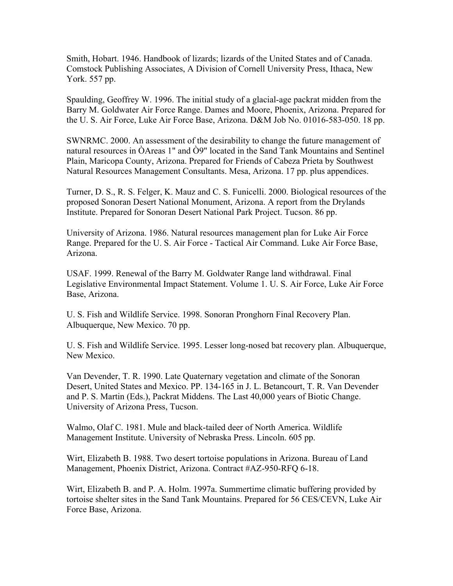Smith, Hobart. 1946. Handbook of lizards; lizards of the United States and of Canada. Comstock Publishing Associates, A Division of Cornell University Press, Ithaca, New York. 557 pp.

Spaulding, Geoffrey W. 1996. The initial study of a glacial-age packrat midden from the Barry M. Goldwater Air Force Range. Dames and Moore, Phoenix, Arizona. Prepared for the U. S. Air Force, Luke Air Force Base, Arizona. D&M Job No. 01016-583-050. 18 pp.

SWNRMC. 2000. An assessment of the desirability to change the future management of natural resources in ÒAreas 1" and Ò9" located in the Sand Tank Mountains and Sentinel Plain, Maricopa County, Arizona. Prepared for Friends of Cabeza Prieta by Southwest Natural Resources Management Consultants. Mesa, Arizona. 17 pp. plus appendices.

Turner, D. S., R. S. Felger, K. Mauz and C. S. Funicelli. 2000. Biological resources of the proposed Sonoran Desert National Monument, Arizona. A report from the Drylands Institute. Prepared for Sonoran Desert National Park Project. Tucson. 86 pp.

University of Arizona. 1986. Natural resources management plan for Luke Air Force Range. Prepared for the U. S. Air Force - Tactical Air Command. Luke Air Force Base, Arizona.

USAF. 1999. Renewal of the Barry M. Goldwater Range land withdrawal. Final Legislative Environmental Impact Statement. Volume 1. U. S. Air Force, Luke Air Force Base, Arizona.

U. S. Fish and Wildlife Service. 1998. Sonoran Pronghorn Final Recovery Plan. Albuquerque, New Mexico. 70 pp.

U. S. Fish and Wildlife Service. 1995. Lesser long-nosed bat recovery plan. Albuquerque, New Mexico.

Van Devender, T. R. 1990. Late Quaternary vegetation and climate of the Sonoran Desert, United States and Mexico. PP. 134-165 in J. L. Betancourt, T. R. Van Devender and P. S. Martin (Eds.), Packrat Middens. The Last 40,000 years of Biotic Change. University of Arizona Press, Tucson.

Walmo, Olaf C. 1981. Mule and black-tailed deer of North America. Wildlife Management Institute. University of Nebraska Press. Lincoln. 605 pp.

Wirt, Elizabeth B. 1988. Two desert tortoise populations in Arizona. Bureau of Land Management, Phoenix District, Arizona. Contract #AZ-950-RFQ 6-18.

Wirt, Elizabeth B. and P. A. Holm. 1997a. Summertime climatic buffering provided by tortoise shelter sites in the Sand Tank Mountains. Prepared for 56 CES/CEVN, Luke Air Force Base, Arizona.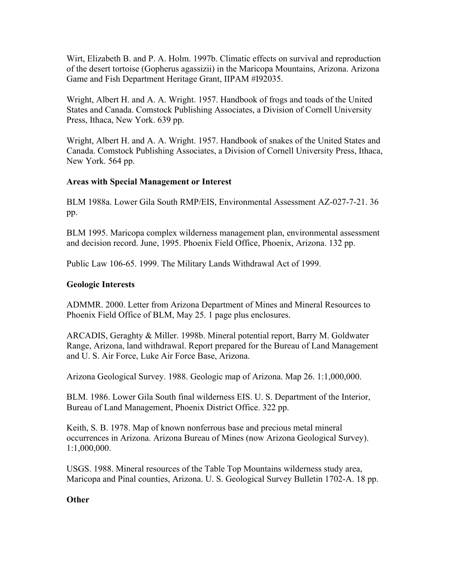Wirt, Elizabeth B. and P. A. Holm. 1997b. Climatic effects on survival and reproduction of the desert tortoise (Gopherus agassizii) in the Maricopa Mountains, Arizona. Arizona Game and Fish Department Heritage Grant, IIPAM #I92035.

Wright, Albert H. and A. A. Wright. 1957. Handbook of frogs and toads of the United States and Canada. Comstock Publishing Associates, a Division of Cornell University Press, Ithaca, New York. 639 pp.

Wright, Albert H. and A. A. Wright. 1957. Handbook of snakes of the United States and Canada. Comstock Publishing Associates, a Division of Cornell University Press, Ithaca, New York. 564 pp.

## **Areas with Special Management or Interest**

BLM 1988a. Lower Gila South RMP/EIS, Environmental Assessment AZ-027-7-21. 36 pp.

BLM 1995. Maricopa complex wilderness management plan, environmental assessment and decision record. June, 1995. Phoenix Field Office, Phoenix, Arizona. 132 pp.

Public Law 106-65. 1999. The Military Lands Withdrawal Act of 1999.

### **Geologic Interests**

ADMMR. 2000. Letter from Arizona Department of Mines and Mineral Resources to Phoenix Field Office of BLM, May 25. 1 page plus enclosures.

ARCADIS, Geraghty & Miller. 1998b. Mineral potential report, Barry M. Goldwater Range, Arizona, land withdrawal. Report prepared for the Bureau of Land Management and U. S. Air Force, Luke Air Force Base, Arizona.

Arizona Geological Survey. 1988. Geologic map of Arizona. Map 26. 1:1,000,000.

BLM. 1986. Lower Gila South final wilderness EIS. U. S. Department of the Interior, Bureau of Land Management, Phoenix District Office. 322 pp.

Keith, S. B. 1978. Map of known nonferrous base and precious metal mineral occurrences in Arizona. Arizona Bureau of Mines (now Arizona Geological Survey). 1:1,000,000.

USGS. 1988. Mineral resources of the Table Top Mountains wilderness study area, Maricopa and Pinal counties, Arizona. U. S. Geological Survey Bulletin 1702-A. 18 pp.

## **Other**